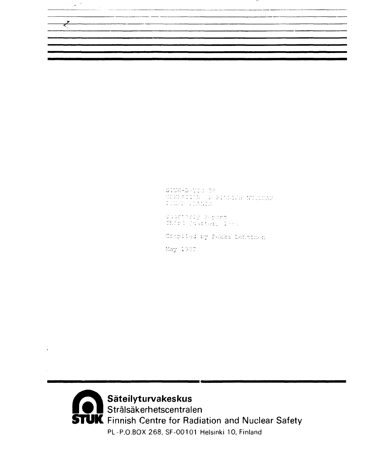| the contract of the contract of the contract of the contract of the contract of the contract of | <b>College College</b> |  |  |
|-------------------------------------------------------------------------------------------------|------------------------|--|--|

STUK-B-VIO 38<br>OPEPATION DE FINDICH NUCLUAR<br>POWER PLANING

Olisherly Peport<br>Third (Nurter) 1986

Compiled by Pekka Lehtinen

May 1987

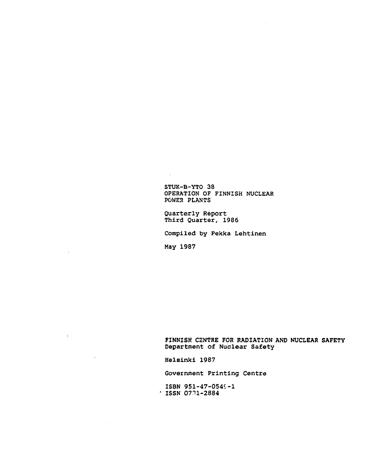STUK-B-YTO 38 OPERATION OF FINNISH NUCLEAR POWER PLANTS

Quarterly Report Third Quarter, 1986

Compiled by Pekka Lehtinen

May 1987

 $\hat{\mathcal{A}}$ 

 $\mathcal{L}^{\text{max}}$ 

 $\sim 10^7$ 

 $\sim$ 

 $\sim 10^7$ 

FINNISH CENTRE FOR RADIATION AND NUCLEAR SAFETY Department of Nuclear Safety

Helsinki 1987

Government Printing Centre

ISBN 951-47-054 $-1$  $:$  ISSN 0731-2884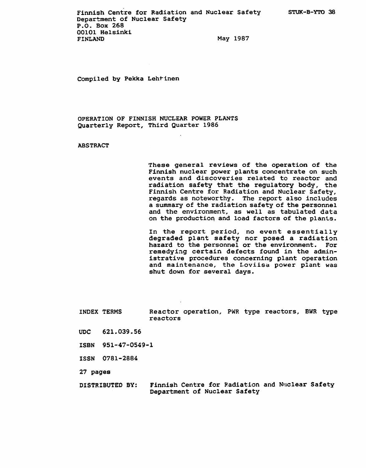Compiled by Pekka Lehtinen

OPERATION OF FINNISH NUCLEAR POWER PLANTS Quarterly Report, Third Quarter 1986

## ABSTRACT

These general reviews of the operation of the Finnish nuclear power plants concentrate on such events and discoveries related to reactor and radiation safety that the regulatory body, the Finnish Centre for Radiation and Nuclear Safety, regards as noteworthy. The report also includes a summary of the radiation safety of the personnel and the environment, as well as tabulated data on the production and load factors of the plants.

In the report period, no event essentially degraded plant safety ncr posed a radiation hazard to the personnel or the environment. For remedying certain defects found in the administrative procedures concerning plant operation and maintenance, the Loviisa power plant was shut down for several days.

INDEX TERMS Reactor operation, PWR type reactors, BWR type reactors

- UDC 621.039.56
- ISBN 951-47-0549-1
- ISSN 0781-2884
- 27 pages
- DISTRIBUTED BY: Finnish Centre for Radiation and Nuclear Safety Department of Nuclear Safety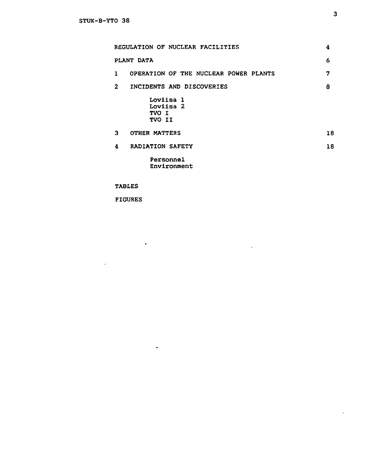| REGULATION OF NUCLEAR FACILITIES           | 4  |
|--------------------------------------------|----|
| PLANT DATA                                 | 6  |
| OPERATION OF THE NUCLEAR POWER PLANTS<br>1 | 7  |
| $\mathbf{2}$<br>INCIDENTS AND DISCOVERIES  | 8  |
| Loviisa 1<br>Loviisa 2<br>TVO I<br>TVO II  |    |
| 3.<br>OTHER MATTERS                        | 18 |
| <b>RADIATION SAFETY</b><br>4               | 18 |
| Personnel<br>Environment                   |    |

 $\label{eq:2.1} \begin{split} \mathcal{L}_{\text{max}}(\mathcal{L}_{\text{max}}) = \mathcal{L}_{\text{max}}(\mathcal{L}_{\text{max}}) \end{split}$ 

TABLES

FIGURES

 $\sim 10^{11}$ 

 $\sim 10^{-1}$ 

 $\bullet$  . <br> <br> <br> <br> <br> <br> <br> <br> <br> <br><br><br><br><br><br>

 $\mathcal{A}^{\mathcal{A}}$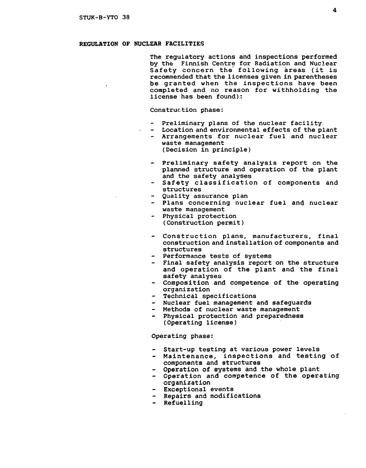#### REGULATION OF NUCLEAR FACILITIES

The regulatory actions and inspections performed by the Finnish Centre for Radiation and Nuclear Safety concern the following areas (it is recommended that the licenses given in parentheses be granted when the inspections have been completed and no reason for withholding the license has been found):

#### Construction phase:

- Preliminary plans of the nuclear facility
- Location and environmental effects of the plant
- Arrangements for nuclear fuel and nuclear waste management (Decision in principle)
- Preliminary safety analysis report on the planned structure and operation of the plant and the safety analyses
- Safety classification of components and structures
- Quality assurance plan
- Plans concerning nuclear fuel and nuclear waste management
- Physical protection (Construction permit)
- Construction plans, manufacturers, final construction and installation of components and structures
- Performance tests of systems
- Final safety analysis report on the structure and operation of the plant and the final safety analyses
- Composition and competence of the operating organization
- Technical specifications
- Nuclear fuel management and safeguards
- Methods of nuclear waste management
- Physical protection and preparedness (Operating license)

#### Operating phase:

- Start-up testing at various power levels
- Maintenance, inspections and testing of components and structures
- Operation of systems and the whole plant
- Operation and competence of the operating organization
- Exceptional events
- Repairs and modifications
- Refuelling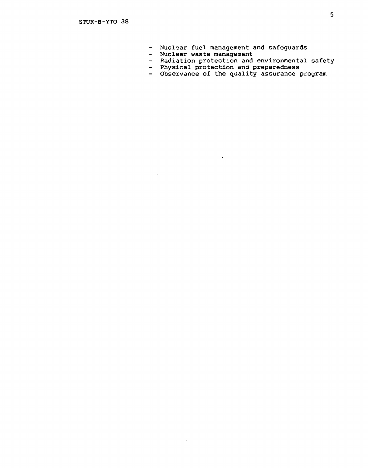- Nuclear fuel management and safeguards
- Nuclear waste management

 $\mathcal{A}_\mathrm{c}$ 

 $\bar{z}$ 

- Radiation protection and environmental safety
- Physical protection and preparedness

 $\downarrow$ 

Observance of the quality assurance program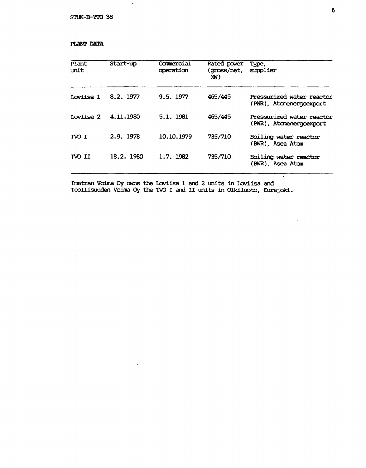$\ddot{\phantom{a}}$ 

## PLANT DATA

| Plant<br>unit | Start-up   | Commercial<br>operation | Rated power<br>(gross/net,<br>MW) | Type,<br>supplier                                    |
|---------------|------------|-------------------------|-----------------------------------|------------------------------------------------------|
| Loviisa 1     | 8.2. 1977  | 9.5.1977                | 465/445                           | Pressurized water reactor<br>(PWR), Atomenergoexport |
| Loviisa 2     | 4.11.1980  | 5.1. 1981               | 465/445                           | Pressurized water reactor<br>(PWR), Atomenergoexport |
| TVO I         | 2.9.1978   | 10.10.1979              | 735/710                           | Boiling water reactor<br>(BWR), Asea Atom            |
| TVO II        | 18.2. 1980 | 1.7.1982                | 735/710                           | Boiling water reactor<br>(BWR), Asea Atom            |

Imatran Voima Oy owns the Loviisa 1 and 2 units in Loviisa and Teollisuuden Voima Oy the TVO I and II units in Olkiluoto, Eurajoki.

τ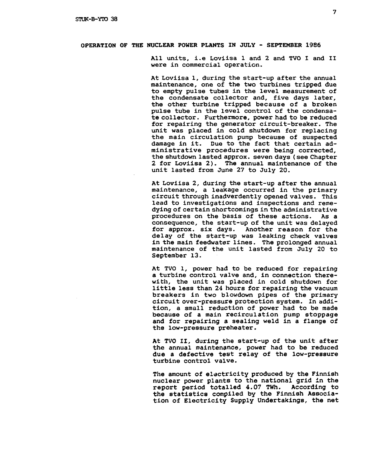## OPERATION OF THE NUCLEAR POWER PLANTS IN JULY - SEPTEMBER 1986

All units, i.e Loviisa 1 and 2 and TVO I and II were in commercial operation.

At Loviisa 1, during the start-up after the annual maintenance, one of the two turbines tripped due to empty pulse tubes in the level measurement of the condensate collector and, five days later, the other turbine tripped because of a broken pulse tube in the level control of the condensate collector. Furthermore, power had to be reduced for repairing the generator circuit-breaker. The unit was placed in cold shutdown for replacing the main circulation pump because of suspected damage in it. Due to the fact that certain administrative procedures were being corrected, the shutdown lasted approx. seven days (see Chapter 2 for Loviisa 2). The annual maintenance of the unit lasted from June 27 to July 20.

At Loviisa 2, during the start-up after the annual maintenance, a leakage occurred in the primary circuit through inadverdently opened valves. This lead to investigations and inspections and remedying of certain shortcomings in the administrative procedures on the basis of these actions. As a consequence, the start-up of the unit was delayed for approx. six days. Another reason for the delay of the start-up was leaking check valves in the main feedwater lines. The prolonged annual maintenance of the unit lasted from July 20 to September 13.

At TVO 1, power had to be reduced for repairing a turbine control valve and, in connection therewith, the unit was placed in cold shutdown for little less than 24 hours for repairing the vacuum breakers in two blowdown pipes of the primary circuit over-pressure protection system. In addition, a small reduction of power had to be made because of a main recirculation pump stoppage and for repairing a sealing weld in a flange of the low-pressure preheater.

At TVO II, during the start-up of the unit after the annual maintenance, power had to be reduced due a defective test relay of the low-pressure turbine control valve.

The amount of electricity produced by the Finnish nuclear power plants to the national grid in the report period totalled 4.07 TWh. According to the statistics compiled by the Finnish Association of Electricity Supply Undertakings, the net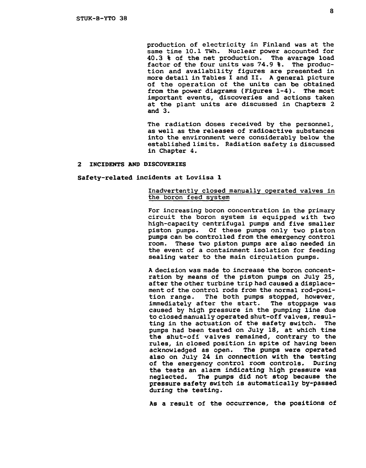production of electricity in Finland was at the same time 10.1 TWh. Nuclear power accounted for<br>40.3 % of the net production. The avarage load  $40.3$   $%$  of the net production. factor of the four units was 74.9 %. The production and availability figures are presented in more detail in Tables I and II. A general picture of the operation of the units can be obtained<br>from the power diagrams (Figures 1-4). The most from the power diagrams (Figures  $1-4$ ). important events, discoveries and actions taken at the plant units are discussed in Chapters 2 and 3.

The radiation doses received by the personnel, as well as the releases of radioactive substances into the environment were considerably below the established limits. Radiation safety is discussed in Chapter 4.

#### 2 INCIDENTS AND DISCOVERIES

#### Safety-related incidents at Loviisa 1

## Inadvertently closed manually operated valves in the boron feed system

For increasing boron concentration in the primary circuit the boron system is equipped with two high-capacity centrifugal pumps and five smaller piston pumps. Of these pumps only two piston pumps can be controlled from the emergency control room. These two piston pumps are also needed in the event of a containment isolation for feeding sealing water to the main circulation pumps.

A decision was made to increase the boron concentration by means of the piston pumps on July 25, after the other turbine trip had caused a displacement of the control rods from the normal rod-posi-<br>tion range. The both pumps stopped, however, The both pumps stopped, however, immediately after the start. The stoppage was caused by high pressure in the pumping line due to closed manually operated shut-off valves, resulting in the actuation of the safety switch. The pumps had been tested on July 18, at which time the shut-off valves remained, contrary to the rules, in closed position in spite of having been acknowledged as open. The pumps were operated also on July 24 in connection with the testing of the emergency control room controls. During the tests an alarm indicating high pressure was neglected. The pumps did not stop because the pressure safety switch is automatically by-passed during the testing.

As a result of the occurrence, the positions of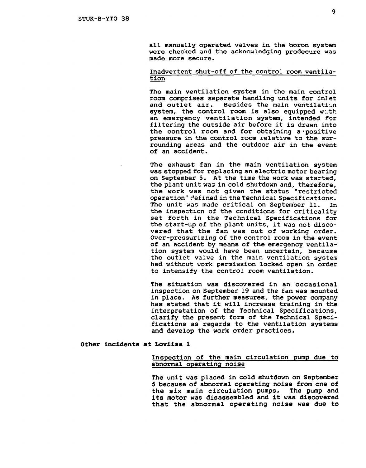all manually operated valves in the boron system were checked and the acknowledging prodecure was made more secure.

## Inadvertent shut-off of the control room ventilation

The main ventilation system in the main control room comprises separate handling units for inlet and outlet air. Besides the main ventilation system, the control room is also equipped with an emergency ventilation system, intended for filtering the outside air before it is drawn into the control room and for obtaining a-positive pressure in the control room relative to the surrounding areas and the outdoor air in the event of an accident.

The exhaust fan in the main ventilation system was stopped for replacing an electric motor bearing on September 5. At the time the work was started, the plant unit was in cold shutdown and, therefore, the work was not given the status "restricted operation" defined in the Technical Specifications. The unit was made critical on September 11. In the inspection of the conditions for criticality set forth in the Technical Specifications for the start-up of the plant units, it was not discovered that the fan was out of working order. Over-pressurizing of the control room in the event of an accident by means of the emergency ventilation system would have been uncertain, because the outlet valve in the main ventilation system had without work permission locked open in order to intensify the control room ventilation.

The situation was discovered in an occasional inspection on September 19 and the fan was mounted in place. As further measures, the power company has stated that it will increase training in the interpretation of the Technical Specifications, clarify the present form of the Technical Specifications as regards to the ventilation systems and develop the work order practices.

#### Other incidents at Loviisa 1

## Inspection of the main circulation pump due to abnormal operating noise

The unit was placed in cold shutdown on September 5 because of abnormal operating noise from one of the six main circulation pumps. The pump and its motor was disassembled and it was discovered that the abnormal operating noise was due to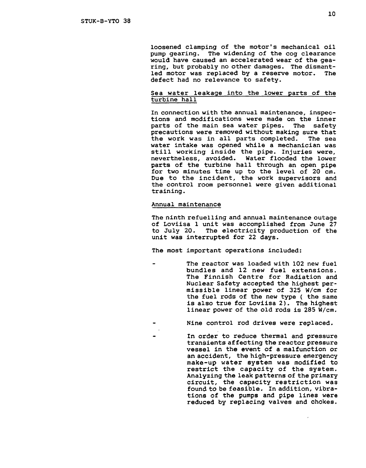loosened clamping of the motor's mechanical oil pump gearing. The widening of the cog clearance would have caused an accelerated wear of the gearing, but probably no other damages. The dismantled motor was replaced by a reserve motor. The defect had no relevance to safety.

## Sea water leakage into the lower parts of the turbine hall

In connection with the annual maintenance, inspections and modifications were made on the inner parts of the main sea water pipes. The safety precautions were removed without making sure that the work was in all parts completed. The sea water intake was opened while a mechanician was still working inside the pipe. Injuries were, nevertheless, avoided. Water flooded the lower parts of the turbine hall through an open pipe for two minutes time up to the level of 20 cm. Due to the incident, the work supervisors and the control room personnel were given additional training.

### Annual maintenance

The ninth refuelling and annual maintenance outage of Loviisa 1 unit was accomplished from June 27 to July 20. The electricity production of the unit was interrupted for 22 days.

The most important operations included:

The reactor was loaded with 102 new fuel bundles and 12 new fuel extensions. The Finnish Centre for Radiation and Nuclear Safety accepted the highest permissible linear power of 325 W/cm for the fuel rods of the new type ( the same is also true for Loviisa 2). The highest linear power of the old rods is 285 W/cm.

Nine control rod drives were replaced.

In order to reduce thermal and pressure transients affecting the reactor pressure vessel in the event of a malfunction or an accident, the high-pressure emergency make-up water system was modified to restrict the capacity of the system. Analyzing the leak patterns of the primary circuit, the capacity restriction was found to be feasible. In addition, vibrations of the pumps and pipe lines were reduced by replacing valves and chokes.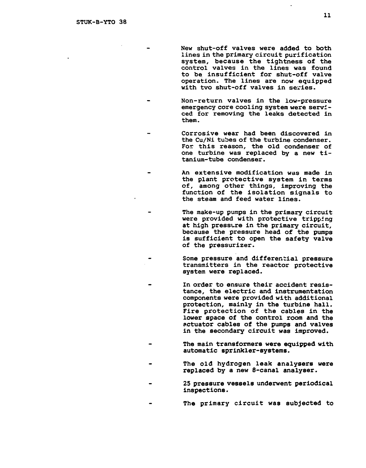**New shut-off valves were added to both lines in the primary circuit purification system, because the tightness of the control valves in the lines was found to be. insufficient for shut-off valve operation. The lines are now equipped with tvo shut-off valves in series.** 

**Non-return valves in the low-pressure emergency core cooling system were serviced for removing the leaks detected in them.** 

**Corrosive wear had been discovered in the Cu/Ni tubes of the turbine condenser. For this reason, the old condenser of one turbine was replaced by a new titanium-tube condenser.** 

**An extensive modification was made in the plant protective system in terms of, among other things, improving the function of the isolation signals to the steam and feed water lines.** 

**The make-up pumps in the primary circuit were provided with protective tripping at high pressure in the primary circuit, because the pressure head of the pumps is sufficient to open the safety valve of the pressurizer.** 

**Some pressure and differential pressure transmitters in the reactor protective system were replaced.** 

**In order to ensure their accident resistance, the electric and instrumentation components were provided with additional protection, mainly in the turbine hall. Fire protection of the cables in the lower space of the control room and the actuator cables of the pumps and valves in the secondary circuit was improved.** 

**The main transformers were equipped with automatic sprinkler-systems.** 

- **The old hydrogen leak analysers were replaced by a new 8-canal analyser.**
- **25 pressure vessels underwent periodical inspections.**
- **The primary circuit was subjected to**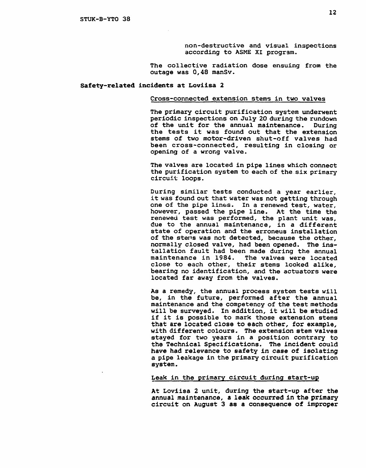non-destructive and visual inspections according to ASME XI program.

The collective radiation dose ensuing from the outage was 0,48 manSv.

#### Safety-related incidents at Loviisa 2

#### Cross-connected extension stems in two valves

The primary circuit purification system underwent periodic inspections on July 20 during the rundown of the unit for the annual maintenance. During the tests it was found out that the extension stems of two motor-driven shut-off valves had been cross-connected, resulting in closing or opening of a wrong valve.

The valves are located in pipe lines which connect the purification system to each of the six primary circuit loops.

During similar tests conducted a year earlier, it was found out that water was not getting through one of the pipe lines. In a renewed test, water, however, passed the pipe line. At the time the renewed test was performed, the plant unit was, due to the annual maintenance, in a different state of operation and the erroneus installation of the stens was not detected, because the other, normally closed valve, had been opened. The installation fault had been made during the annual The valves were located close to each other, their stems looked alike, bearing no identification, and the actuators were located far away from the valves.

As a remedy, the annual process system tests will be, in the future, performed after the annual maintenance and the competency of the test methods will be surveyed. In addition, it will be studied if it is possible to mark those extension stems that are located close to each other, for example, with different colours. The extension stem valves stayed for two years in a position contrary to the Technical Specifications. The incident could have had relevance to safety in case of isolating a pipe leakage in the primary circuit purification system.

#### Leak in the primary circuit during start-up

At Loviisa 2 unit, during the start-up after the annual maintenance, a leak occurred in the primary circuit on August 3 as a consequence of improper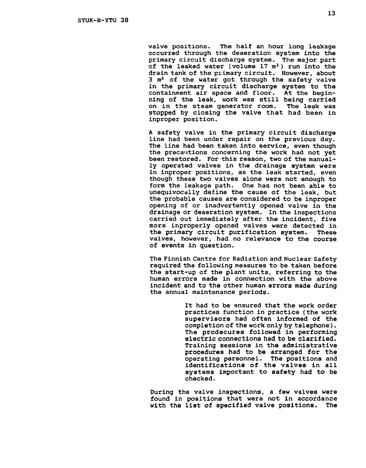valve positions. The half an hour long leakage occurred through the deaeration system into the primary circuit discharge system. The major part of the leaked water (volume  $17 \text{ m}^3$ ) run into the drain tank of the primary circuit. However, about 3 m<sup>3</sup> of the water got through the safety valve in the primary circuit discharge system to the containment air space and floor. At the beginning of the leak, work was still being carried on in the steam generator room. The leak was stopped by closing the valve that had been in inproper position.

A safety valve in the primary circuit discharge line had been under repair on the previous day. The line had been taken into service, even though the precautions concerning the work had not yet been restored. For this reason, two of the manually operated valves in the drainage system were in inproper positions, as the leak started, even though these two valves alone were not enough to form the leakage path. One has not been able to unequivocally define the cause of the leak, but the probable causes are considered to be inproper opening of or inadvertently opened valve in the drainage or deaeration system. In the inspections carried out immediately after the incident, five more inproperly opened valves were detected in the primary circuit purification system. These valves, however, had no relevance to the course of events in question.

The Finnish Centre for Radiation and Nuclear Safety required the following measures to be taken before the start-up of the plant units, referring to the human errors made in connection with the above incident and to the other human errors made during the annual maintenance periods.

> It had to be ensured that the work order practices function in practice (the work supervisors had often informed of the completion of the work only by telephone). The prodecures followed in performing electric connections had to be clarified. Training sessions in the administrative procedures had to be arranged for the operating personnel. The positions and identifications of the valves in all systems important to safety had to be checked.

During the valve inspections, a few valves were found in positions that were not in accordance with the list of specified valve positions. The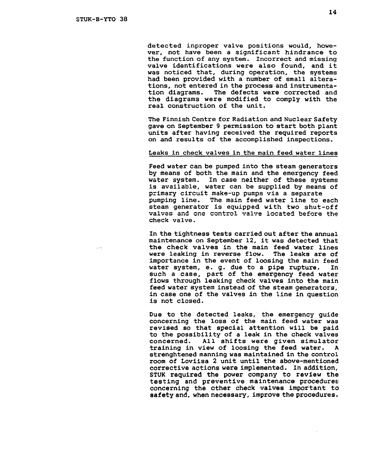detected inproper valve positions would, however, not have been a significant hindrance to the function of any system. Incorrect and missing valve identifications were also found, and it was noticed that, during operation, the systems had been provided with a number of small alterations, not entered in the process and instrumentation diagrams. The defects were corrected and the diagrams were modified to comply with the real construction of the unit.

The Finnish Centre for Radiation and Nuclear Safety gave on September 9 permission to start both plant units after having received the required reports on and results of the accomplished inspections.

## Leaks in check valves in the main feed water lines

Feed water can be pumped into the steam generators by means of both the main and the emergency feed water system. In case neither of these systems is available, water can be supplied by means of primary circuit make-up pumps via a separate pumping line. The main feed water line to each steam generator is equipped with two shut-off valves and one control valve located before the check valve.

In the tightness tests carried out after the annual maintenance on September 12, it was detected that the check valves in the main feed water lines were leaking in reverse flow. The leaks are of importance in the event of loosing the main feed water system, e. g. due to a pipe rupture. In such a case, part of the emergency feed water flows through leaking check valves into the main feed water system instead of the steam generators, in case one of the valves in the line in question is not closed.

Due to the detected leaks, the emergency guide concerning the loss of the main feed water was revised so that special attention will be paid to the possibility of a leak in the check valves concerned. All shifts were given simulator training in view of loosing the feed water. A strenghtened manning was maintained in the control room of Loviisa 2 unit until the above-mentioned corrective actions were implemented. In addition, STUK required the power company to review the testing and preventive maintenance procedures concerning the other check valves important to safety and, when necessary, improve the procedures.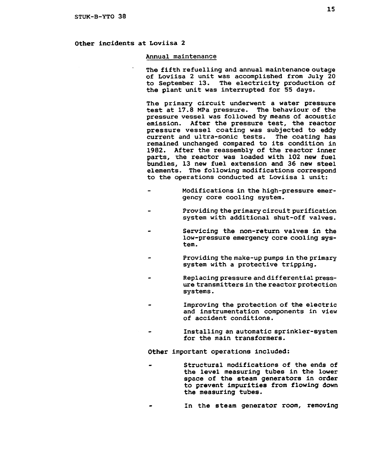# Other incidents at Loviisa 2

#### Annual maintenance

The fifth refuelling and annual maintenance outage of Loviisa 2 unit was accomplished from July 20 to September 13. The electricity production of the plant unit was interrupted for 55 days.

The primary circuit underwent a water pressure test at 17.8 MPa pressure. The behaviour of the pressure vessel was followed by means of acoustic emission. After the pressure test, the reactor pressure vessel coating was subjected to eddy current and ultra-sonic tests. The coating has remained unchanged compared to its condition in 1982. After the reassembly of the reactor inner parts, *the* reactor was loaded with 102 new fuel bundles, 13 new fuel extension and 36 new steel elements. The following modifications correspond to the operations conducted at Loviisa 1 unit:

- Modifications in the high-pressure emergency core cooling system.
- Providing the primary circuit purification system with additional shut-off valves.
- Servicing the non-return valves in the low-pressure emergency core cooling system.
- Providing the make-up pumps in the primary system with a protective tripping.
- Replacing pressure and differential pressure transmitters in the reactor protection systems.
- Improving the protection of the electric and instrumentation components in view of accident conditions.
- Installing an automatic sprinkler-system for the main transformers.

Other important operations included:

- Structural modifications of the ends of the level measuring tubes in the lower space of the steam generators in order to prevent impurities from flowing down the measuring tubes.
- In the steam generator room, removing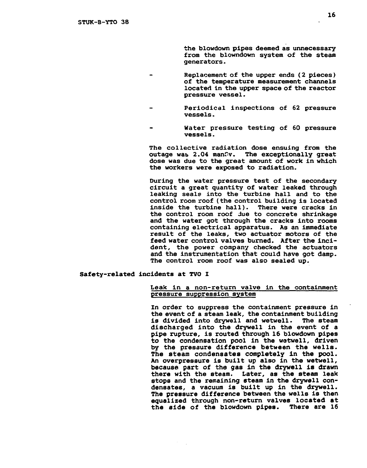**the blowdown pipes deemed as unnecessary from the blowndown system of the steam generators-**

- **Replacement of the upper ends (2 pieces) of the temperature measurement channels located in the upper space of the reactor pressure vessel.**
- **Periodical inspections of 62 pressure vessels.**
- **Water pressure testing of 60 pressure vessels.**

**The collective radiation dose ensuing from the outage was 2.04 manfv. The exceptionally great dose was due to the great amount of work in which the workers were exposed to radiation.** 

**During the water pressure test of the secondary circuit a great quantity of water leaked through leaking seals into the turbine hall and to the control room roof (the control building is located inside the turbine hall). There were cracks in the control room roof due to concrete shrinkage and the water got through the cracks into rooms containing electrical apparatus. As an immediate result of the leaks, two actuator motors of the feed water control valves burned. After the incident, the power company checked the actuators and the instrumentation that could have got damp. The control room roof was also sealed up.** 

#### **Safety-related incidents at TVO I**

## **Leak in a non-return valve in the containment pressure suppression system**

**In order to suppress the containment pressure in the event of a steam leak, the containment building is divided into drywell and wetwell. The steam discharged into the drywell in the event of a pipe rupture, is routed through 16 blowdown pipes to the condensation pool in the wetwell, driven by the pressure difference between the wells. The steam condensates completely in the pool. An overpressure is built up also in the wetwell, because part of the gas in the drywell is drawn there with the steam. Later, as the steam leak stops and the remaining steam in the drywell condensates, a vacuum is built up in the drywell. The pressure difference between the wells is then equalized through non-return valves located at the side of the blowdown pipes. There are 16**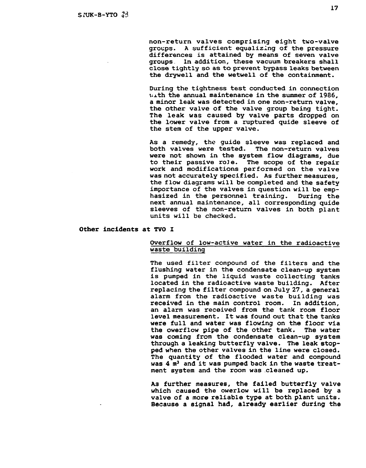**non-return valves comprising eight two-valve groups. A sufficient equalizing of the pressure differences is attained by means of seven valve groups. In addition, these vacuum breakers shall close tightly so as to prevent bypass leaks between the drywell and the wetwell of the containment.** 

**During the tightness test conducted in connection uxth the annual maintenance in the summer of 1986, a minor leak was detected in one non-return valve, the other valve of the valve group being tight. The leak was caused by valve parts dropped on the lower valve from a ruptured quide sleeve of the stem of the upper valve.** 

**As a remedy, the guide sleeve was replaced and both valves were tested. The non-return valves were not shown in the system flow diagrams, due to their passive role. The scope of the repair work and modifications performed on the valve was not accurately specified. As further measures, the flow diagrams will be completed and the safety importance of the valves in question will be emphasized in the personnel training. During the next annual maintenance, all corresponding quide sleeves of the non-return valves in both plant units will be checked.** 

## **Other incidents at TVO I**

## **Overflow of low-active water in the radioactive waste building**

**The used filter compound of the filters and the flushing water in the condensate clean-up system is pumped in the liquid waste collecting tanks located in the radioactive waste building. After replacing the filter compound on July 27, a general alarm from the radioactive waste building was received in the main control room. In addition, an alarm was received from the tank room floor level measurement. It was found out that the tanks were full and water was flowing on the floor via the owerflow pipe of the other tank. The water was coming from the condensate clean-up system through a leaking butterfly valve. The leak stopped when the other valves in the line were closed. The quantity of the flooded water and compound was 4 m<sup>3</sup> and it was pumped back in the waste treatment system and the room was cleaned up.** 

**A3 further measures, the failed butterfly valve which caused the owerlow will be replaced by a valve of a more reliable type at both plant units. Because a signal had, already earlier during the**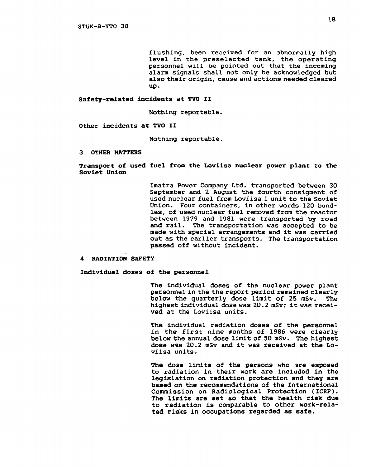flushing, been received for an abnormally high level in the preselected tank, the operating personnel will be pointed out that the incoming alarm signals shall not only be acknowledged but also their origin, cause and actions needed cleared up.

Safety-related incidents at TVO II

Nothing reportable.

Other incidents at TVO II

Nothing reportable.

3 OTHER MATTERS

Transport of used fuel from the Loviisa nuclear power plant to the Soviet Union

> Imatra Power Company Ltd. transported between 30 September and 2 August the fourth consigment of used nuclear fuel from Loviisa 1 unit to the Soviet Union. Four containers, in other words 120 bundles, of used nuclear fuel removed from the reactor between 1979 and 1981 were transported by road and rail. The transportation was accepted to be made with special arrangements and it was carried out as the earlier transports. The transportation passed off without incident.

#### RADIATION SAFETY

Individual doses of the personnel

The individual doses of the nuclear power plant personnel in the the report period remained clearly below the quarterly dose limit of 25 mSv. The highest individual dose was 20.2 mSv; it was received at the Loviisa units.

The individual radiation doses of the personnel in the first nine months of 1986 were clearly below the annual dose limit of 50 mSv. The highest dose was 20.2 mSv and it was received at the Loviisa units.

The dose limits of the persons who are exposed to radiation in their work are included in the legislation on radiation protection and they are based on the recommendations of the International Commission on Radiological Protection (ICRP). The limits are set so that the health risk due to radiation is comparable to other work-related risks in occupations regarded as safe.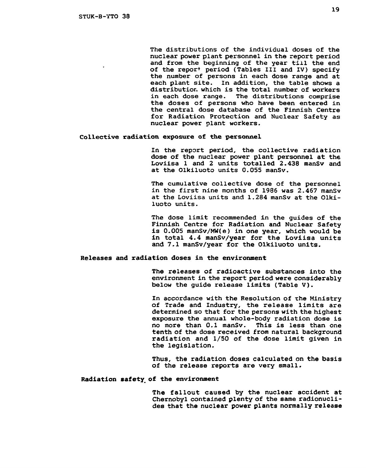The distributions of the individual doses of the nuclear power plant personnel in the report period and from the beginning of the year till the end of the repor+ period (Tables III and IV) specify the number of persons in each dose range and at each plant site. In addition, the table shows a distribution which is the total number of workers<br>in each dose range. The distributions comprise The distributions comprise. the doses of persons who have been entered in the central dose database of the Finnish Centre for Radiation Protection and Nuclear Safety as nuclear power plant workers.

#### Collective radiation exposure of the personnel

In the report period, the collective radiation dose of the nuclear power plant personnel at the Loviisa 1 and 2 units totalled 2.438 manSv and at the Olkiluoto units 0.055 manSv.

The cumulative collective dose of the personnel in the first nine months of 1986 was 2.467 manSv at the Loviisa units and 1.284 manSv at the Olkiluoto units.

The dose limit recommended in the guides of the Finnish Centre for Radiation and Nuclear Safety is 0.005 manSv/MW(e) in one year, which would be in total 4.4 manSv/year for the Loviisa units and 7.1 manSv/year for the Olkiluoto units.

## Releases and radiation doses in the environment

The releases of radioactive substances into the environment in the report period were considerably below the guide release limits (Table V) .

In accordance with the Resolution of rhe Ministry of Trade and Industry, the release limits are determined so that for the persons with the highest exposure the annual whole-body radiation dose is no more than 0.1 manSv. This is less than one tenth of the dose received from natural background radiation and 1/50 of the dose limit given in the legislation.

Thus, the radiation doses calculated on the basis of the release reports are very small.

# Radiation safety of the environment

The fallout caused by the nuclear accident at Chernobyl contained plenty of the same radionuclides that the nuclear power plants normally release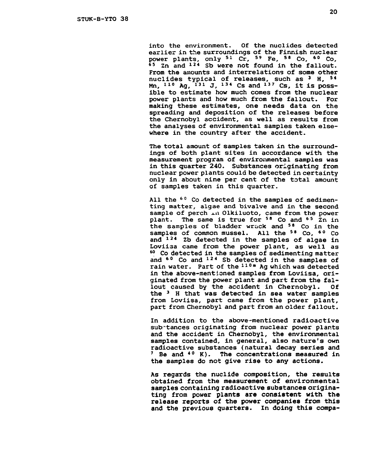into the environment. Of the nuclides detected **earlier in the surroundings of the Finnish nuclear power plants, only <sup>51</sup> Cr, <sup>59</sup> Fe, <sup>58</sup> Co, <sup>60</sup> Co, <sup>65</sup> Zn and <sup>12</sup> <sup>4</sup> Sb were not found in the fallout. From the amounts and interrelations of some other nuclides typical of releases, such as <sup>3</sup> H, 54 Mn, <sup>11</sup> <sup>0</sup> Ag, <sup>13</sup> <sup>1</sup> J, <sup>13</sup> <sup>4</sup> Cs and <sup>13</sup> <sup>7</sup> Cs, it is possible to estimate how much comes from the nuclear power plants and how much from the fallout. For making these estimates, one needs data on the spreading and deposition of the releases before the Chernobyl accident, as well as results from the analyses of environmental samples taken elsewhere in the country after the accident.** 

**The total amount of samples taken in the surroundings of both plant sites in accordance with the measurement program of environmental samples was in this quarter 240. Substances originating from nuclear power plants could be detected in certainty only in about nine per cent of the total amount of samples taken in this quarter.** 

**All the <sup>60</sup> Co detected in the samples of sedimenting matter, algae and bivalve and in the second sample of perch j.n Olkiluoto, came from the power plant. The same is true for <sup>58</sup> Co and <sup>6</sup> <sup>5</sup> Zn in the samples of bladder wrack and <sup>58</sup> Co in the samples of common mussel. All the <sup>58</sup> Co, <sup>6</sup> <sup>0</sup> Co and <sup>12</sup> <sup>4</sup> Zb detected in the samples of algae in Loviisa came from the power plant, as well as <sup>60</sup> Co detected in the samples of sedimenting matter and <sup>6</sup> <sup>0</sup> Co and <sup>12</sup> <sup>4</sup> Sb detected in the samples of rain water. Part of the <sup>110</sup> <sup>m</sup> Ag which was detected in the above-mentioned samples from Loviisa, originated from the power plant and part from the fallout caused by the accident in Chernobyl. Of the <sup>3</sup> H that was detected in sea water samples from Loviisa, part came from the power plant, part from Chernobyl and part from an older fallout.** 

**In addition to the above-mentioned radioactive subrtances originating from nuclear power plants and the accident in Chernobyl, the environmental samples contained, in general, also nature's own radioactive substances (natural decay series and <sup>7</sup> Be and <sup>40</sup> K). The concentrations measured in the samples do not give rise to any actions.** 

**As regards the nuclide composition, the results obtained from the measurement of environmental samples containing radioactive substances originating from power plants are consistent with the release reports of the power companies from this and the previous quarters, in doing this compa-**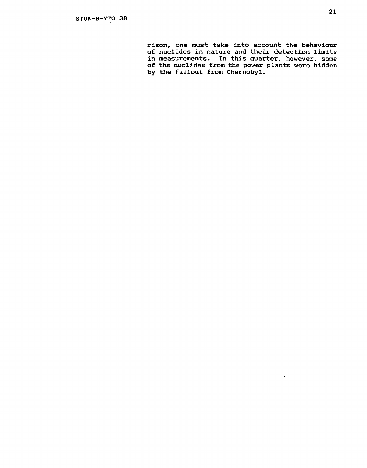$\ddot{\phantom{1}}$ 

rison, one must take into account the behaviour of nuclides in nature and their detection limits in measurements. In this quarter, however, some of the nuclides from the power plants were hidden by the fallout from Chernobyl.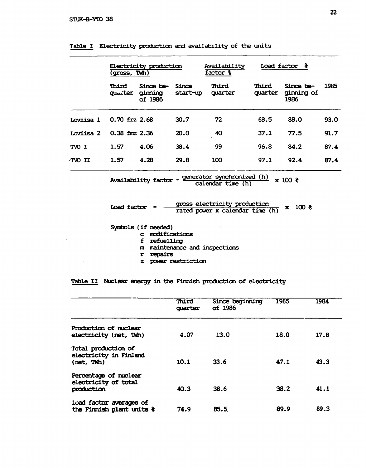$\bar{z}$ 

|           | (gross, TWh)      | Electricity production          |                   | Availability<br>factor & |                  | Load factor &                   |      |
|-----------|-------------------|---------------------------------|-------------------|--------------------------|------------------|---------------------------------|------|
|           | Third<br>quarter  | Since be-<br>ginning<br>of 1986 | Since<br>start-up | Third<br>quarter         | Third<br>quarter | Since be-<br>ginning of<br>1986 | 1985 |
| Loviisa 1 | $0.70$ frz 2.68   |                                 | 30.7              | 72                       | 68.5             | 88.0                            | 93.0 |
| Loviisa 2 | $0.38$ fmz $2.36$ |                                 | 20.0              | 40                       | 37.1             | 77.5                            | 91.7 |
| TVO I     | 1.57              | 4.06                            | 38.4              | 99                       | 96.8             | 84.2                            | 87.4 |
| TVO II    | 1.57              | 4.28                            | 29.8              | 100                      | 97.1             | 92.4                            | 87.4 |

|  |  | Table I Electricity production and availability of the units |  |
|--|--|--------------------------------------------------------------|--|
|  |  |                                                              |  |

$$
Availableality factor = \frac{generator synchronized (h)}{calendar time (h)} \times 100 \text{ %}
$$

 $\text{Load factor} = \frac{\text{cross electricity production}}{\text{axis}} \times 100 % \text{or} \times 100 % \text{or} \times 100 % \text{or} \times 100 % \text{or} \times 100 % \text{or} \times 100 % \text{or} \times 100 % \text{or} \times 100 % \text{or} \times 100 % \text{or} \times 100 % \text{or} \times 100 % \text{or} \times 100 % \text{or} \times 100 % \text{or} \times 100 % \text{or} \times 100 % \text{or} \times 100 % \text{or} \times 100 %$ **rated power x calendar time (h)** 

**Symbols (if needed)** 

**c modifications** 

**f refuelling** 

- **m maintenance and inspections**
- **r repairs**
- **z power restriction**

**Table II Nuclear energy in the Finnish production of electricity** 

|                                                             | Third<br>quarter | Since beginning<br>of 1986 | 1985 | 1984 |
|-------------------------------------------------------------|------------------|----------------------------|------|------|
| Production of nuclear<br>electricity (net, TWh)             | 4.07             | 13.0                       | 18.0 | 17.8 |
| Total production of<br>electricity in Finland<br>(net, TM)  | 10.1             | 33.6                       | 47.1 | 43.3 |
| Percentage of nuclear<br>electricity of total<br>production | 40.3             | 38.6                       | 38.2 | 41.1 |
| Load factor averages of<br>the Finnish plant units &        | 74.9             | 85.5                       | 89.9 | 89.3 |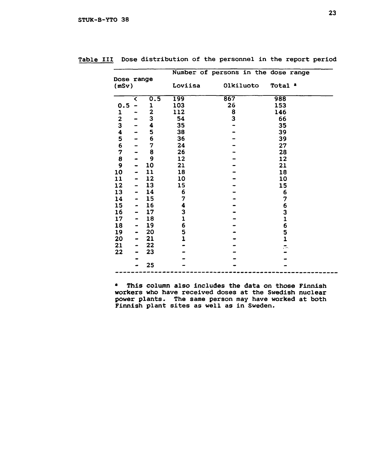|                         |   |              |                | Number of persons in the dose range |                    |
|-------------------------|---|--------------|----------------|-------------------------------------|--------------------|
| Dose range<br>(mSv)     |   |              | Loviisa        | Olkiluoto                           | Total <sup>a</sup> |
|                         | ८ | 0.5          | 199            | 867                                 | 988                |
| 0.5                     |   | 1            | 103            | 26                                  | 153                |
| 1                       |   | $\mathbf{z}$ | 112            | 8                                   | 146                |
|                         |   | 3            | 54             | 3                                   | 66                 |
| $\frac{2}{3}$           |   | 4            | 35             |                                     | 35                 |
| $\overline{\mathbf{4}}$ |   | 5            | 38             |                                     | 39                 |
| 5                       |   | 6            | 36             |                                     | 39                 |
| 6                       |   | 7            | 24             |                                     | 27                 |
| 7                       |   | 8            | 26             |                                     | 28                 |
| 8                       | - | 9            | 12             |                                     | 12                 |
| 9                       |   | 10           | 21             |                                     | 21                 |
| 10                      |   | 11           | 18             |                                     | 18                 |
| 11                      |   | 12           | 10             |                                     | 10                 |
| 12                      |   | 13           | 15             |                                     | 15                 |
| 13                      |   | 14           | 6              |                                     | 6                  |
| 14                      |   | 15           | 7              |                                     | 7                  |
| 15                      |   | 16           | 4              |                                     | 6                  |
| 16                      |   | 17           | 3              |                                     | $\frac{3}{1}$      |
| 17                      | - | 18           | $\mathbf{1}$   |                                     |                    |
| 18                      |   | 19           | 6              |                                     | 6                  |
| 19                      |   | 20           | 5              |                                     | $\frac{5}{1}$      |
| 20                      |   | 21           | $\overline{1}$ |                                     |                    |
| 21                      |   | 22           |                |                                     | <u>я.</u>          |
| 22                      |   | 23           |                |                                     |                    |
|                         |   |              |                |                                     |                    |
|                         |   | 25           |                |                                     |                    |
|                         |   |              |                |                                     |                    |

|  | Table III Dose distribution of the personnel in the report period |  |  |  |  |
|--|-------------------------------------------------------------------|--|--|--|--|
|  |                                                                   |  |  |  |  |

\* This column also includes the data on those Finnish workers who have received doses at the Swedish nuclear power plants. The same person may have worked at both Finnish plant sites as well as in Sweden.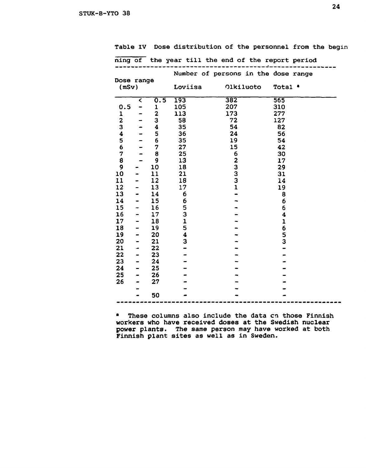|  |  | Table IV Dose distribution of the personnel from the begin |  |  |  |  |  |  |  |
|--|--|------------------------------------------------------------|--|--|--|--|--|--|--|
|--|--|------------------------------------------------------------|--|--|--|--|--|--|--|

|                         |   |              |             | ning of the year till the end of the report period |                    |  |
|-------------------------|---|--------------|-------------|----------------------------------------------------|--------------------|--|
|                         |   |              |             | Number of persons in the dose range                |                    |  |
| Dose range              |   |              |             |                                                    |                    |  |
| (mSv)                   |   |              | Loviisa     | Olkiluoto                                          | Total <sup>a</sup> |  |
|                         |   |              |             |                                                    |                    |  |
|                         | ≺ | 0.5          | 193         | 382                                                | 565                |  |
| 0.5                     |   | $\mathbf 1$  | 105         | 207                                                | 310                |  |
| 1                       |   | $\mathbf{z}$ | 113         | 173                                                | 277                |  |
| $\overline{\mathbf{2}}$ |   | 3            | 58          | 72                                                 | 127                |  |
| 3                       |   | 4            | 35          | 54                                                 | 82                 |  |
| 4                       |   | 5            | 36          | 24                                                 | 56                 |  |
| 5                       |   | 6            | 35          | 19                                                 | 54                 |  |
| 6                       |   | 7            | 27          | 15                                                 | 42                 |  |
| 7                       |   | 8            | 25          | 6                                                  | 30                 |  |
| 8                       |   | 9            | 13          | 2                                                  | 17                 |  |
| 9                       |   | 10           | 18          | 3                                                  | 29                 |  |
| 10                      |   | 11           | 21          | 3                                                  | 31                 |  |
| 11                      |   | 12           | 18          | 3                                                  | 14                 |  |
| 12                      |   | 13           | 17          | $\mathbf{1}$                                       | 19                 |  |
| 13                      |   | 14           | 6           |                                                    | 8                  |  |
| 14                      |   | 15           | 6           |                                                    | 6                  |  |
| 15                      |   | 16           | 5<br>3      |                                                    | 6                  |  |
| 16                      |   | 17           |             |                                                    | 4                  |  |
| 17                      |   | 18           | $\mathbf 1$ |                                                    | ı                  |  |
| 18                      |   | 19           | 5           |                                                    | 6                  |  |
| 19                      |   | 20           | 4           |                                                    | 5                  |  |
| 20                      |   | 21           | 3           |                                                    | 3                  |  |
| 21                      |   | 22           |             |                                                    |                    |  |
| 22                      |   | 23           |             |                                                    |                    |  |
| 23                      | - | 24           |             |                                                    |                    |  |
| 24                      |   | 25           |             |                                                    |                    |  |
| 25                      | - | 26           |             |                                                    |                    |  |
| 26                      |   | 27           |             |                                                    |                    |  |
|                         |   |              |             |                                                    |                    |  |
|                         |   | 50           |             |                                                    |                    |  |

• These columns also include the data en those Finnish workers who have received doses at the Swedish nuclear power plants. The same person may have worked at both Finnish plant sites as well as in Sweden.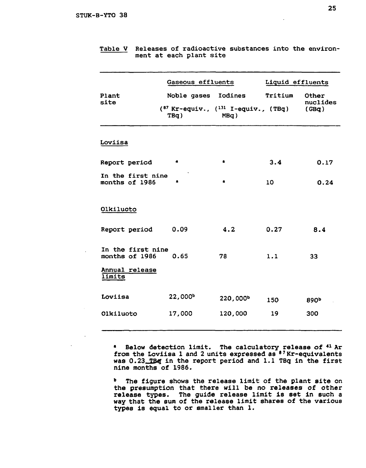|                                                       | Gaseous effluents                                                               | Liquid effluents |         |                            |
|-------------------------------------------------------|---------------------------------------------------------------------------------|------------------|---------|----------------------------|
| Plant<br>site                                         | Noble gases Iodines<br>$(^{87}$ Kr-equiv., $(^{131}$ I-equiv., $(^{78}$<br>TBq) | $MBq$ )          | Tritium | Other<br>nuclides<br>(GBq) |
| Loviisa                                               |                                                                                 |                  |         |                            |
| Report period                                         | a                                                                               | $\bullet$        | 3.4     | 0.17                       |
| In the first nine<br>months of 1986                   | a                                                                               | $\bullet$        | 10      | 0.24                       |
| Olkiluoto                                             |                                                                                 |                  |         |                            |
| Report period                                         | 0.09                                                                            | 4.2              | 0.27    | 8.4                        |
| In the first nine<br>months of 1986<br>Annual release | 0.65                                                                            | 78               | 1.1     | 33                         |
| <b>Iimits</b>                                         |                                                                                 |                  |         |                            |
| Loviisa                                               | 22,000 <sup>b</sup>                                                             | 220,000b         | 150     | 890 <sup>b</sup>           |
| Olkiluoto                                             | 17,000                                                                          | 120,000          | 19      | 300                        |

**Table V Releases of radioactive substances into the environment at each plant site** 

**• Below detection limit. The calculatory release of <sup>41</sup> Ar from the Loviisa 1 and 2 units expressed as <sup>87</sup>Kr-equivalents**  was 0.23\_TBq in the report period and 1.1 TBq in the first **nine months of 1986.** 

**" The figure shows the release limit of the plant site on the presumption that there will be no releases of other release types. The guide release limit is set in such a way that the sum of the release limit shares of the various types is equal to or smaller than 1.**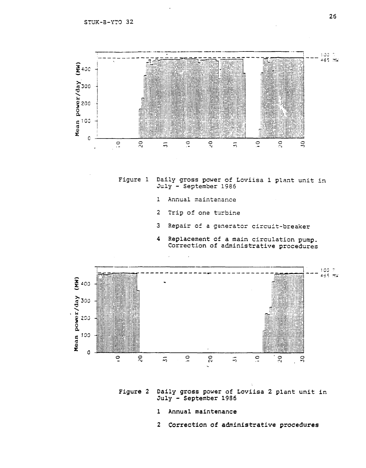

Figure 1 Daily gross power of Loviisa 1 plant unit in July - September 1986

- 1 Annual maintenance
- 2 Trip of one turbine
- 3 Repair of a generator circuit-breaker
- 4 Replacement of **a** main circulation pump. Correction of administrative procedures



**Figure 2 Daily gross power of Loviisa 2 plant unit in July - September 1986** 

- **1 Annual maintenance**
- **2 Correction of administrative procedures**